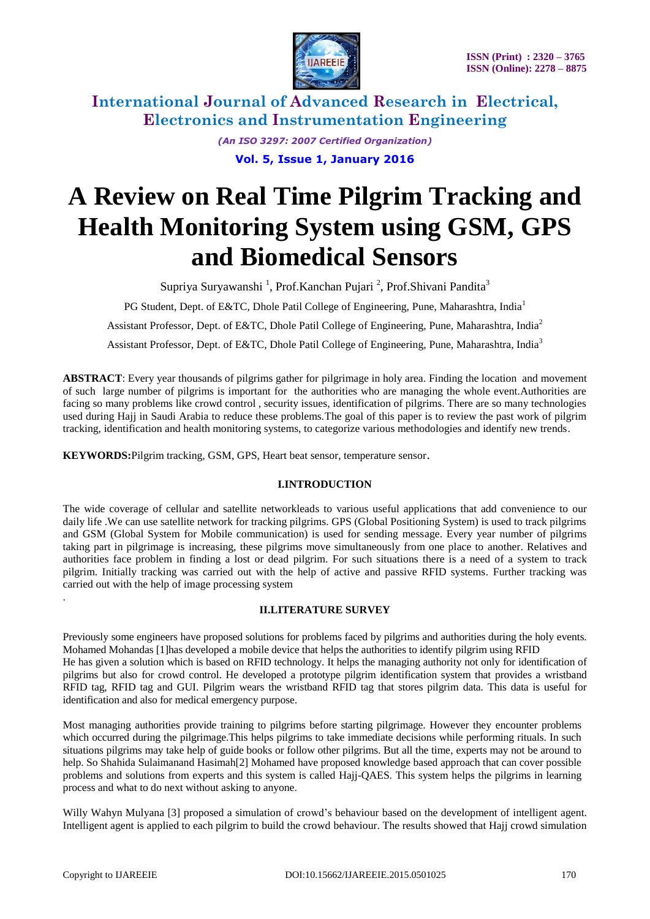

> *(An ISO 3297: 2007 Certified Organization)* **Vol. 5, Issue 1, January 2016**

# **A Review on Real Time Pilgrim Tracking and Health Monitoring System using GSM, GPS and Biomedical Sensors**

Supriya Suryawanshi <sup>1</sup>, Prof.Kanchan Pujari <sup>2</sup>, Prof.Shivani Pandita<sup>3</sup>

PG Student, Dept. of E&TC, Dhole Patil College of Engineering, Pune, Maharashtra, India<sup>1</sup>

Assistant Professor, Dept. of E&TC, Dhole Patil College of Engineering, Pune, Maharashtra, India<sup>2</sup>

Assistant Professor, Dept. of E&TC, Dhole Patil College of Engineering, Pune, Maharashtra, India<sup>3</sup>

**ABSTRACT**: Every year thousands of pilgrims gather for pilgrimage in holy area. Finding the location and movement of such large number of pilgrims is important for the authorities who are managing the whole event.Authorities are facing so many problems like crowd control , security issues, identification of pilgrims. There are so many technologies used during Hajj in Saudi Arabia to reduce these problems.The goal of this paper is to review the past work of pilgrim tracking, identification and health monitoring systems, to categorize various methodologies and identify new trends.

**KEYWORDS:**Pilgrim tracking, GSM, GPS, Heart beat sensor, temperature sensor.

## **I.INTRODUCTION**

The wide coverage of cellular and satellite networkleads to various useful applications that add convenience to our daily life .We can use satellite network for tracking pilgrims. GPS (Global Positioning System) is used to track pilgrims and GSM (Global System for Mobile communication) is used for sending message. Every year number of pilgrims taking part in pilgrimage is increasing, these pilgrims move simultaneously from one place to another. Relatives and authorities face problem in finding a lost or dead pilgrim. For such situations there is a need of a system to track pilgrim. Initially tracking was carried out with the help of active and passive RFID systems. Further tracking was carried out with the help of image processing system

## **II.LITERATURE SURVEY**

Previously some engineers have proposed solutions for problems faced by pilgrims and authorities during the holy events. Mohamed Mohandas [1]has developed a mobile device that helps the authorities to identify pilgrim using RFID He has given a solution which is based on RFID technology. It helps the managing authority not only for identification of pilgrims but also for crowd control. He developed a prototype pilgrim identification system that provides a wristband RFID tag, RFID tag and GUI. Pilgrim wears the wristband RFID tag that stores pilgrim data. This data is useful for identification and also for medical emergency purpose.

Most managing authorities provide training to pilgrims before starting pilgrimage. However they encounter problems which occurred during the pilgrimage. This helps pilgrims to take immediate decisions while performing rituals. In such situations pilgrims may take help of guide books or follow other pilgrims. But all the time, experts may not be around to help. So Shahida Sulaimanand Hasimah<sup>[2]</sup> Mohamed have proposed knowledge based approach that can cover possible problems and solutions from experts and this system is called Hajj-QAES. This system helps the pilgrims in learning process and what to do next without asking to anyone.

Willy Wahyn Mulyana [3] proposed a simulation of crowd's behaviour based on the development of intelligent agent. Intelligent agent is applied to each pilgrim to build the crowd behaviour. The results showed that Hajj crowd simulation

.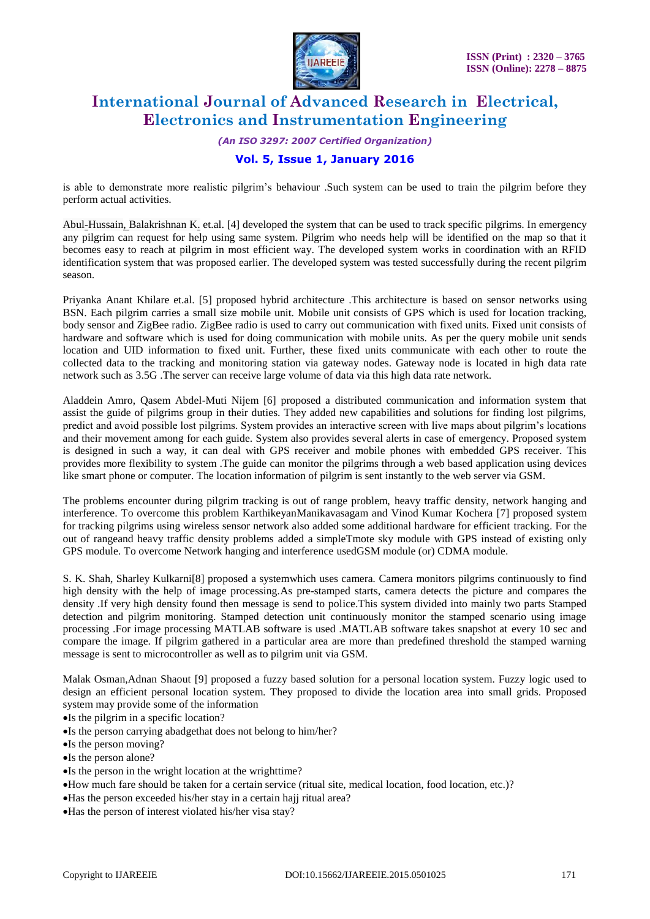

*(An ISO 3297: 2007 Certified Organization)*

# **Vol. 5, Issue 1, January 2016**

is able to demonstrate more realistic pilgrim's behaviour .Such system can be used to train the pilgrim before they perform actual activities.

[Abul-Hussain,](http://ieeexplore.ieee.org/search/searchresult.jsp?searchWithin=%22Authors%22:.QT.Abul-Hussain,%20A..QT.&newsearch=true) [Balakrishnan K.](http://ieeexplore.ieee.org/search/searchresult.jsp?searchWithin=%22Authors%22:.QT.Balakrishnan,%20K..QT.&newsearch=true) et.al. [4] developed the system that can be used to track specific pilgrims. In emergency any pilgrim can request for help using same system. Pilgrim who needs help will be identified on the map so that it becomes easy to reach at pilgrim in most efficient way. The developed system works in coordination with an RFID identification system that was proposed earlier. The developed system was tested successfully during the recent pilgrim season.

Priyanka Anant Khilare et.al. [5] proposed hybrid architecture .This architecture is based on sensor networks using BSN. Each pilgrim carries a small size mobile unit. Mobile unit consists of GPS which is used for location tracking, body sensor and ZigBee radio. ZigBee radio is used to carry out communication with fixed units. Fixed unit consists of hardware and software which is used for doing communication with mobile units. As per the query mobile unit sends location and UID information to fixed unit. Further, these fixed units communicate with each other to route the collected data to the tracking and monitoring station via gateway nodes. Gateway node is located in high data rate network such as 3.5G .The server can receive large volume of data via this high data rate network.

Aladdein Amro, Qasem Abdel-Muti Nijem [6] proposed a distributed communication and information system that assist the guide of pilgrims group in their duties. They added new capabilities and solutions for finding lost pilgrims, predict and avoid possible lost pilgrims. System provides an interactive screen with live maps about pilgrim's locations and their movement among for each guide. System also provides several alerts in case of emergency. Proposed system is designed in such a way, it can deal with GPS receiver and mobile phones with embedded GPS receiver. This provides more flexibility to system .The guide can monitor the pilgrims through a web based application using devices like smart phone or computer. The location information of pilgrim is sent instantly to the web server via GSM.

The problems encounter during pilgrim tracking is out of range problem, heavy traffic density, network hanging and interference. To overcome this problem KarthikeyanManikavasagam and Vinod Kumar Kochera [7] proposed system for tracking pilgrims using wireless sensor network also added some additional hardware for efficient tracking. For the out of rangeand heavy traffic density problems added a simpleTmote sky module with GPS instead of existing only GPS module. To overcome Network hanging and interference usedGSM module (or) CDMA module.

S. K. Shah, Sharley Kulkarni[8] proposed a systemwhich uses camera*.* Camera monitors pilgrims continuously to find high density with the help of image processing*.*As pre-stamped starts, camera detects the picture and compares the density .If very high density found then message is send to police.This system divided into mainly two parts Stamped detection and pilgrim monitoring. Stamped detection unit continuously monitor the stamped scenario using image processing .For image processing MATLAB software is used .MATLAB software takes snapshot at every 10 sec and compare the image. If pilgrim gathered in a particular area are more than predefined threshold the stamped warning message is sent to microcontroller as well as to pilgrim unit via GSM.

Malak Osman,Adnan Shaout [9] proposed a fuzzy based solution for a personal location system. Fuzzy logic used to design an efficient personal location system. They proposed to divide the location area into small grids. Proposed system may provide some of the information

- Is the pilgrim in a specific location?
- •Is the person carrying abadgethat does not belong to him/her?
- •Is the person moving?
- •Is the person alone?
- •Is the person in the wright location at the wrighttime?
- How much fare should be taken for a certain service (ritual site, medical location, food location, etc.)?
- Has the person exceeded his/her stay in a certain hajj ritual area?
- Has the person of interest violated his/her visa stay?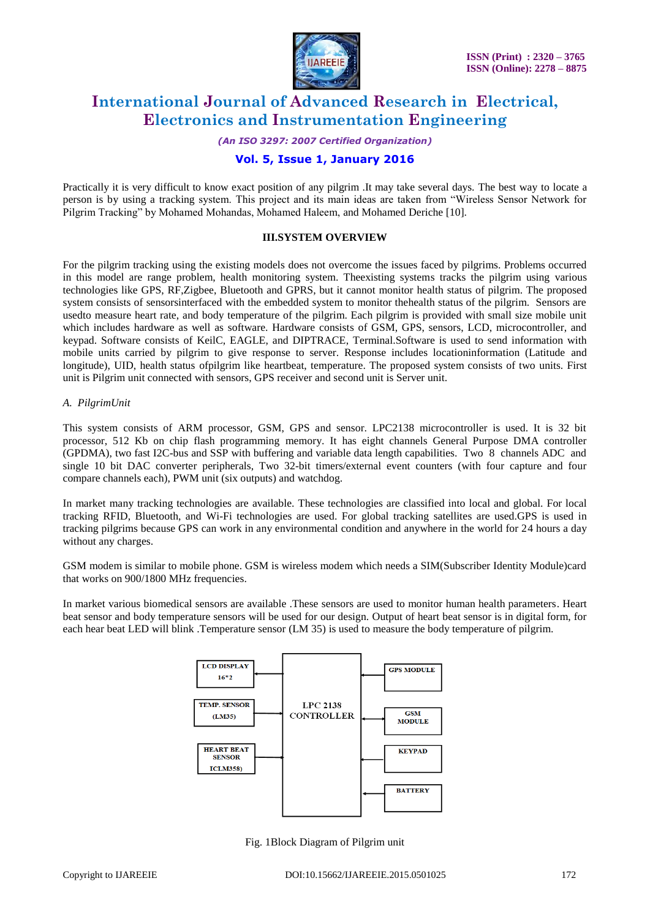

*(An ISO 3297: 2007 Certified Organization)*

## **Vol. 5, Issue 1, January 2016**

Practically it is very difficult to know exact position of any pilgrim .It may take several days. The best way to locate a person is by using a tracking system. This project and its main ideas are taken from "Wireless Sensor Network for Pilgrim Tracking" by Mohamed Mohandas, Mohamed Haleem, and Mohamed Deriche [10].

#### **III.SYSTEM OVERVIEW**

For the pilgrim tracking using the existing models does not overcome the issues faced by pilgrims. Problems occurred in this model are range problem, health monitoring system. Theexisting systems tracks the pilgrim using various technologies like GPS, RF,Zigbee, Bluetooth and GPRS, but it cannot monitor health status of pilgrim. The proposed system consists of sensorsinterfaced with the embedded system to monitor thehealth status of the pilgrim. Sensors are usedto measure heart rate, and body temperature of the pilgrim. Each pilgrim is provided with small size mobile unit which includes hardware as well as software. Hardware consists of GSM, GPS, sensors, LCD, microcontroller, and keypad. Software consists of KeilC, EAGLE, and DIPTRACE, Terminal.Software is used to send information with mobile units carried by pilgrim to give response to server. Response includes locationinformation (Latitude and longitude), UID, health status ofpilgrim like heartbeat, temperature. The proposed system consists of two units. First unit is Pilgrim unit connected with sensors, GPS receiver and second unit is Server unit.

#### *A. PilgrimUnit*

This system consists of ARM processor, GSM, GPS and sensor. LPC2138 microcontroller is used. It is 32 bit processor, 512 Kb on chip flash programming memory. It has eight channels General Purpose DMA controller (GPDMA), two fast I2C-bus and SSP with buffering and variable data length capabilities. Two 8 channels ADC and single 10 bit DAC converter peripherals, Two 32-bit timers/external event counters (with four capture and four compare channels each), PWM unit (six outputs) and watchdog.

In market many tracking technologies are available. These technologies are classified into local and global. For local tracking RFID, Bluetooth, and Wi-Fi technologies are used. For global tracking satellites are used.GPS is used in tracking pilgrims because GPS can work in any environmental condition and anywhere in the world for 24 hours a day without any charges.

GSM modem is similar to mobile phone. GSM is wireless modem which needs a SIM(Subscriber Identity Module)card that works on 900/1800 MHz frequencies.

In market various biomedical sensors are available .These sensors are used to monitor human health parameters. Heart beat sensor and body temperature sensors will be used for our design. Output of heart beat sensor is in digital form, for each hear beat LED will blink .Temperature sensor (LM 35) is used to measure the body temperature of pilgrim.



Fig. 1Block Diagram of Pilgrim unit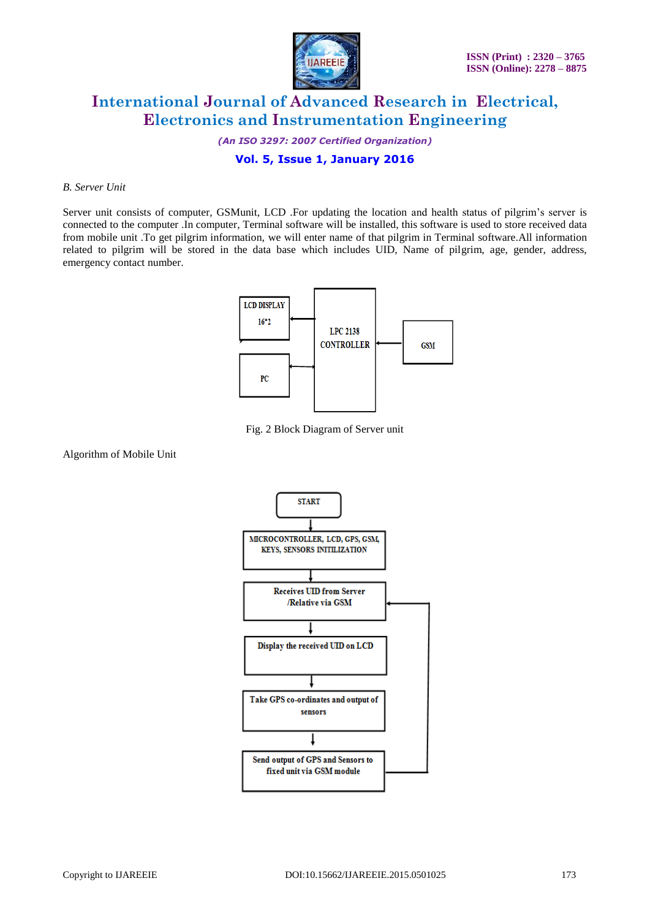

*(An ISO 3297: 2007 Certified Organization)*

## **Vol. 5, Issue 1, January 2016**

#### *B. Server Unit*

Server unit consists of computer, GSMunit, LCD .For updating the location and health status of pilgrim's server is connected to the computer .In computer, Terminal software will be installed, this software is used to store received data from mobile unit .To get pilgrim information, we will enter name of that pilgrim in Terminal software.All information related to pilgrim will be stored in the data base which includes UID, Name of pilgrim, age, gender, address, emergency contact number.



Fig. 2 Block Diagram of Server unit

Algorithm of Mobile Unit